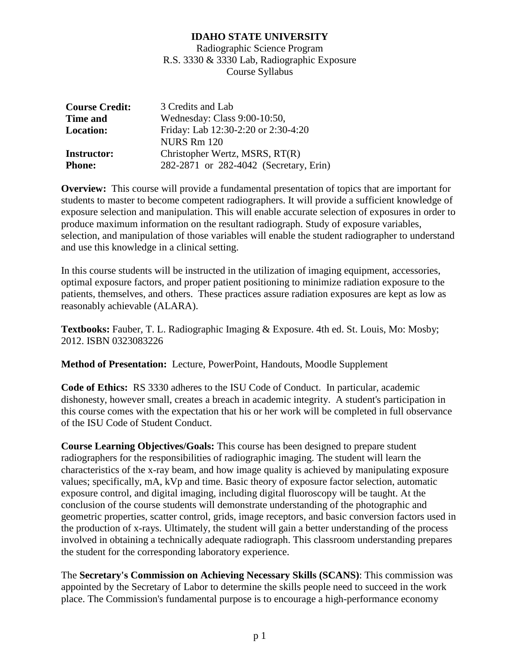Radiographic Science Program R.S. 3330 & 3330 Lab, Radiographic Exposure Course Syllabus

| <b>Course Credit:</b> | 3 Credits and Lab                      |  |  |
|-----------------------|----------------------------------------|--|--|
| <b>Time and</b>       | Wednesday: Class 9:00-10:50,           |  |  |
| <b>Location:</b>      | Friday: Lab 12:30-2:20 or 2:30-4:20    |  |  |
|                       | NURS Rm 120                            |  |  |
| <b>Instructor:</b>    | Christopher Wertz, MSRS, RT(R)         |  |  |
| <b>Phone:</b>         | 282-2871 or 282-4042 (Secretary, Erin) |  |  |

**Overview:** This course will provide a fundamental presentation of topics that are important for students to master to become competent radiographers. It will provide a sufficient knowledge of exposure selection and manipulation. This will enable accurate selection of exposures in order to produce maximum information on the resultant radiograph. Study of exposure variables, selection, and manipulation of those variables will enable the student radiographer to understand and use this knowledge in a clinical setting.

In this course students will be instructed in the utilization of imaging equipment, accessories, optimal exposure factors, and proper patient positioning to minimize radiation exposure to the patients, themselves, and others. These practices assure radiation exposures are kept as low as reasonably achievable (ALARA).

**Textbooks:** Fauber, T. L. Radiographic Imaging & Exposure. 4th ed. St. Louis, Mo: Mosby; 2012. ISBN 0323083226

**Method of Presentation:** Lecture, PowerPoint, Handouts, Moodle Supplement

**Code of Ethics:** RS 3330 adheres to the ISU Code of Conduct. In particular, academic dishonesty, however small, creates a breach in academic integrity. A student's participation in this course comes with the expectation that his or her work will be completed in full observance of the ISU Code of Student Conduct.

**Course Learning Objectives/Goals:** This course has been designed to prepare student radiographers for the responsibilities of radiographic imaging. The student will learn the characteristics of the x-ray beam, and how image quality is achieved by manipulating exposure values; specifically, mA, kVp and time. Basic theory of exposure factor selection, automatic exposure control, and digital imaging, including digital fluoroscopy will be taught. At the conclusion of the course students will demonstrate understanding of the photographic and geometric properties, scatter control, grids, image receptors, and basic conversion factors used in the production of x-rays. Ultimately, the student will gain a better understanding of the process involved in obtaining a technically adequate radiograph. This classroom understanding prepares the student for the corresponding laboratory experience.

The **Secretary's Commission on Achieving Necessary Skills (SCANS)**: This commission was appointed by the Secretary of Labor to determine the skills people need to succeed in the work place. The Commission's fundamental purpose is to encourage a high-performance economy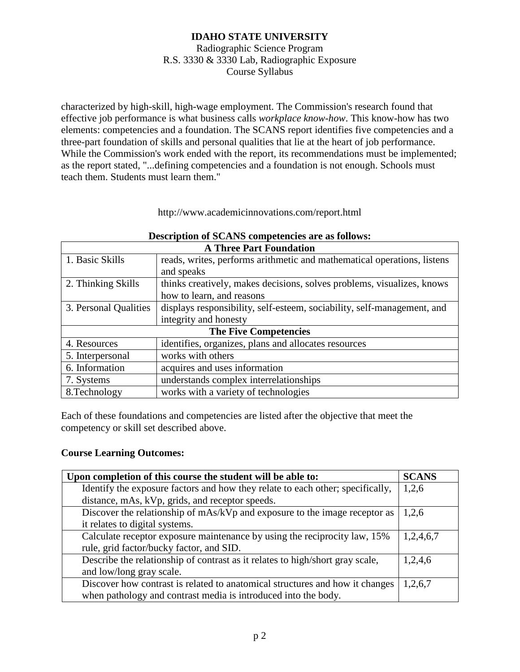### Radiographic Science Program R.S. 3330 & 3330 Lab, Radiographic Exposure Course Syllabus

characterized by high-skill, high-wage employment. The Commission's research found that effective job performance is what business calls *workplace know-how*. This know-how has two elements: competencies and a foundation. The SCANS report identifies five competencies and a three-part foundation of skills and personal qualities that lie at the heart of job performance. While the Commission's work ended with the report, its recommendations must be implemented; as the report stated, "...defining competencies and a foundation is not enough. Schools must teach them. Students must learn them."

#### http://www.academicinnovations.com/report.html

| <b>A Three Part Foundation</b> |                                                                         |  |  |
|--------------------------------|-------------------------------------------------------------------------|--|--|
| 1. Basic Skills                | reads, writes, performs arithmetic and mathematical operations, listens |  |  |
|                                | and speaks                                                              |  |  |
| 2. Thinking Skills             | thinks creatively, makes decisions, solves problems, visualizes, knows  |  |  |
|                                | how to learn, and reasons                                               |  |  |
| 3. Personal Qualities          | displays responsibility, self-esteem, sociability, self-management, and |  |  |
|                                | integrity and honesty                                                   |  |  |
| <b>The Five Competencies</b>   |                                                                         |  |  |
| 4. Resources                   | identifies, organizes, plans and allocates resources                    |  |  |
| 5. Interpersonal               | works with others                                                       |  |  |
| 6. Information                 | acquires and uses information                                           |  |  |
| 7. Systems                     | understands complex interrelationships                                  |  |  |
| 8. Technology                  | works with a variety of technologies                                    |  |  |

# **Description of SCANS competencies are as follows:**

Each of these foundations and competencies are listed after the objective that meet the competency or skill set described above.

#### **Course Learning Outcomes:**

| Upon completion of this course the student will be able to:                    | <b>SCANS</b> |
|--------------------------------------------------------------------------------|--------------|
| Identify the exposure factors and how they relate to each other; specifically, | 1,2,6        |
| distance, mAs, kVp, grids, and receptor speeds.                                |              |
| Discover the relationship of mAs/kVp and exposure to the image receptor as     | 1,2,6        |
| it relates to digital systems.                                                 |              |
| Calculate receptor exposure maintenance by using the reciprocity law, 15%      | 1,2,4,6,7    |
| rule, grid factor/bucky factor, and SID.                                       |              |
| Describe the relationship of contrast as it relates to high/short gray scale,  | 1,2,4,6      |
| and low/long gray scale.                                                       |              |
| Discover how contrast is related to anatomical structures and how it changes   | 1,2,6,7      |
| when pathology and contrast media is introduced into the body.                 |              |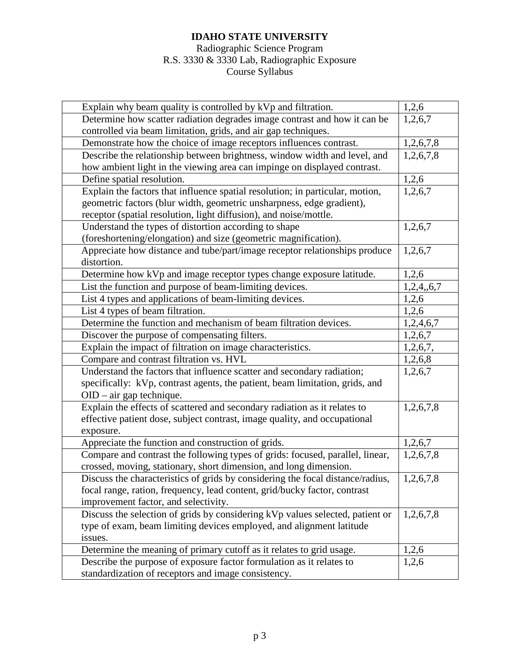# Radiographic Science Program R.S. 3330 & 3330 Lab, Radiographic Exposure Course Syllabus

| Explain why beam quality is controlled by kVp and filtration.                  | 1,2,6      |
|--------------------------------------------------------------------------------|------------|
| Determine how scatter radiation degrades image contrast and how it can be      | 1,2,6,7    |
| controlled via beam limitation, grids, and air gap techniques.                 |            |
| Demonstrate how the choice of image receptors influences contrast.             | 1,2,6,7,8  |
| Describe the relationship between brightness, window width and level, and      | 1,2,6,7,8  |
| how ambient light in the viewing area can impinge on displayed contrast.       |            |
| Define spatial resolution.                                                     | 1,2,6      |
| Explain the factors that influence spatial resolution; in particular, motion,  | 1,2,6,7    |
| geometric factors (blur width, geometric unsharpness, edge gradient),          |            |
| receptor (spatial resolution, light diffusion), and noise/mottle.              |            |
| Understand the types of distortion according to shape                          | 1,2,6,7    |
| (foreshortening/elongation) and size (geometric magnification).                |            |
| Appreciate how distance and tube/part/image receptor relationships produce     | 1,2,6,7    |
| distortion.                                                                    |            |
| Determine how kVp and image receptor types change exposure latitude.           | 1,2,6      |
| List the function and purpose of beam-limiting devices.                        | 1,2,4,,6,7 |
| List 4 types and applications of beam-limiting devices.                        | 1,2,6      |
| List 4 types of beam filtration.                                               | 1,2,6      |
| Determine the function and mechanism of beam filtration devices.               | 1,2,4,6,7  |
| Discover the purpose of compensating filters.                                  | 1,2,6,7    |
| Explain the impact of filtration on image characteristics.                     | 1,2,6,7,   |
| Compare and contrast filtration vs. HVL                                        | 1,2,6,8    |
| Understand the factors that influence scatter and secondary radiation;         | 1,2,6,7    |
| specifically: kVp, contrast agents, the patient, beam limitation, grids, and   |            |
| $OID - air$ gap technique.                                                     |            |
| Explain the effects of scattered and secondary radiation as it relates to      | 1,2,6,7,8  |
| effective patient dose, subject contrast, image quality, and occupational      |            |
| exposure.                                                                      |            |
| Appreciate the function and construction of grids.                             | 1,2,6,7    |
| Compare and contrast the following types of grids: focused, parallel, linear,  | 1,2,6,7,8  |
| crossed, moving, stationary, short dimension, and long dimension.              |            |
| Discuss the characteristics of grids by considering the focal distance/radius, | 1,2,6,7,8  |
| focal range, ration, frequency, lead content, grid/bucky factor, contrast      |            |
| improvement factor, and selectivity.                                           |            |
| Discuss the selection of grids by considering kVp values selected, patient or  | 1,2,6,7,8  |
| type of exam, beam limiting devices employed, and alignment latitude           |            |
| issues.                                                                        |            |
| Determine the meaning of primary cutoff as it relates to grid usage.           | 1,2,6      |
| Describe the purpose of exposure factor formulation as it relates to           | 1,2,6      |
| standardization of receptors and image consistency.                            |            |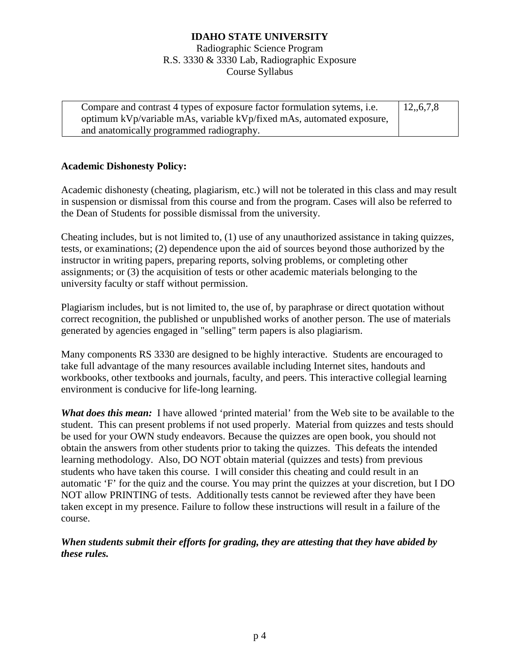Radiographic Science Program R.S. 3330 & 3330 Lab, Radiographic Exposure Course Syllabus

| Compare and contrast 4 types of exposure factor formulation sytems, <i>i.e.</i> | 12, 6, 7, 8 |
|---------------------------------------------------------------------------------|-------------|
| optimum kVp/variable mAs, variable kVp/fixed mAs, automated exposure,           |             |
| and anatomically programmed radiography.                                        |             |

### **Academic Dishonesty Policy:**

Academic dishonesty (cheating, plagiarism, etc.) will not be tolerated in this class and may result in suspension or dismissal from this course and from the program. Cases will also be referred to the Dean of Students for possible dismissal from the university.

Cheating includes, but is not limited to, (1) use of any unauthorized assistance in taking quizzes, tests, or examinations; (2) dependence upon the aid of sources beyond those authorized by the instructor in writing papers, preparing reports, solving problems, or completing other assignments; or (3) the acquisition of tests or other academic materials belonging to the university faculty or staff without permission.

Plagiarism includes, but is not limited to, the use of, by paraphrase or direct quotation without correct recognition, the published or unpublished works of another person. The use of materials generated by agencies engaged in "selling" term papers is also plagiarism.

Many components RS 3330 are designed to be highly interactive. Students are encouraged to take full advantage of the many resources available including Internet sites, handouts and workbooks, other textbooks and journals, faculty, and peers. This interactive collegial learning environment is conducive for life-long learning.

*What does this mean:* I have allowed 'printed material' from the Web site to be available to the student. This can present problems if not used properly. Material from quizzes and tests should be used for your OWN study endeavors. Because the quizzes are open book, you should not obtain the answers from other students prior to taking the quizzes. This defeats the intended learning methodology. Also, DO NOT obtain material (quizzes and tests) from previous students who have taken this course. I will consider this cheating and could result in an automatic 'F' for the quiz and the course. You may print the quizzes at your discretion, but I DO NOT allow PRINTING of tests. Additionally tests cannot be reviewed after they have been taken except in my presence. Failure to follow these instructions will result in a failure of the course.

# *When students submit their efforts for grading, they are attesting that they have abided by these rules.*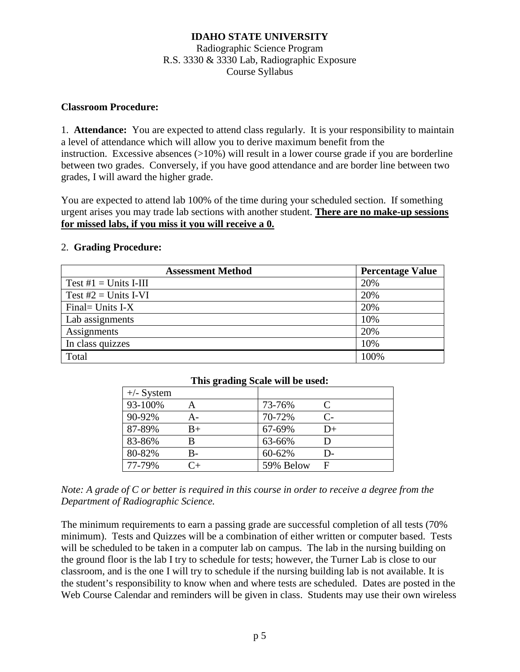# Radiographic Science Program R.S. 3330 & 3330 Lab, Radiographic Exposure Course Syllabus

### **Classroom Procedure:**

1. **Attendance:** You are expected to attend class regularly. It is your responsibility to maintain a level of attendance which will allow you to derive maximum benefit from the instruction. Excessive absences (>10%) will result in a lower course grade if you are borderline between two grades. Conversely, if you have good attendance and are border line between two grades, I will award the higher grade.

You are expected to attend lab 100% of the time during your scheduled section. If something urgent arises you may trade lab sections with another student. **There are no make-up sessions for missed labs, if you miss it you will receive a 0.**

### 2. **Grading Procedure:**

| <b>Assessment Method</b> | <b>Percentage Value</b> |
|--------------------------|-------------------------|
| Test $\#1 =$ Units I-III | 20%                     |
| Test $#2 =$ Units I-VI   | 20%                     |
| Final = Units $I-X$      | 20%                     |
| Lab assignments          | 10%                     |
| Assignments              | 20%                     |
| In class quizzes         | 10%                     |
| Total                    | 100%                    |

| This grading Scale will be used: |      |           |                             |  |  |
|----------------------------------|------|-----------|-----------------------------|--|--|
| $+/-$ System                     |      |           |                             |  |  |
| 93-100%                          |      | 73-76%    | $\mathcal{C}_{\mathcal{C}}$ |  |  |
| 90-92%                           | А-   | 70-72%    | $\mathsf{C}$                |  |  |
| 87-89%                           | $B+$ | 67-69%    | $D+$                        |  |  |
| 83-86%                           | В    | 63-66%    |                             |  |  |
| 80-82%                           | B-   | 60-62%    | D-                          |  |  |
| 77-79%                           |      | 59% Below | F                           |  |  |

*Note: A grade of C or better is required in this course in order to receive a degree from the Department of Radiographic Science.*

The minimum requirements to earn a passing grade are successful completion of all tests (70% minimum). Tests and Quizzes will be a combination of either written or computer based. Tests will be scheduled to be taken in a computer lab on campus. The lab in the nursing building on the ground floor is the lab I try to schedule for tests; however, the Turner Lab is close to our classroom, and is the one I will try to schedule if the nursing building lab is not available. It is the student's responsibility to know when and where tests are scheduled. Dates are posted in the Web Course Calendar and reminders will be given in class. Students may use their own wireless